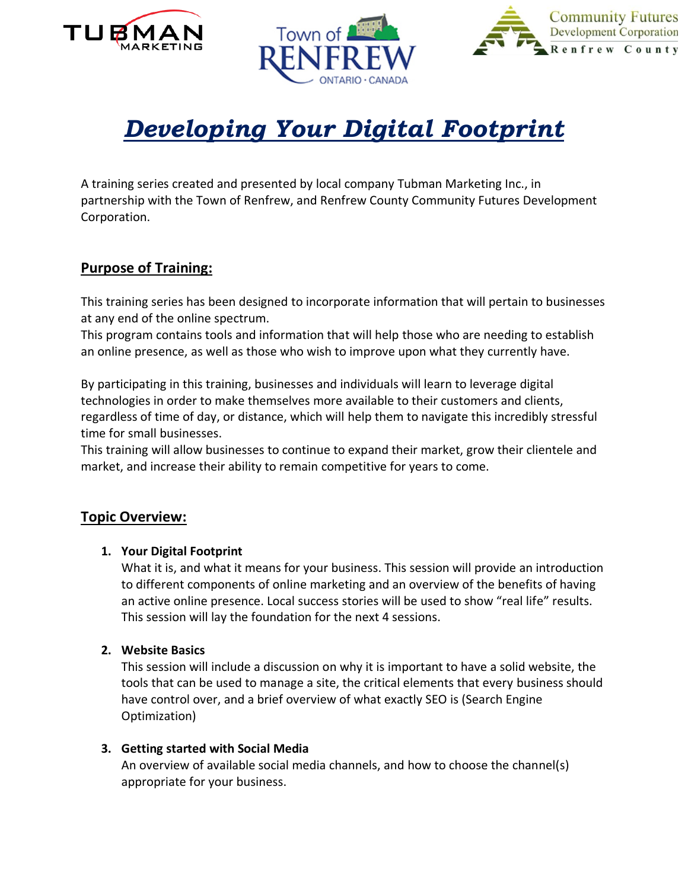





# *Developing Your Digital Footprint*

A training series created and presented by local company Tubman Marketing Inc., in partnership with the Town of Renfrew, and Renfrew County Community Futures Development Corporation.

# **Purpose of Training:**

This training series has been designed to incorporate information that will pertain to businesses at any end of the online spectrum.

This program contains tools and information that will help those who are needing to establish an online presence, as well as those who wish to improve upon what they currently have.

By participating in this training, businesses and individuals will learn to leverage digital technologies in order to make themselves more available to their customers and clients, regardless of time of day, or distance, which will help them to navigate this incredibly stressful time for small businesses.

This training will allow businesses to continue to expand their market, grow their clientele and market, and increase their ability to remain competitive for years to come.

### **Topic Overview:**

#### **1. Your Digital Footprint**

What it is, and what it means for your business. This session will provide an introduction to different components of online marketing and an overview of the benefits of having an active online presence. Local success stories will be used to show "real life" results. This session will lay the foundation for the next 4 sessions.

#### **2. Website Basics**

This session will include a discussion on why it is important to have a solid website, the tools that can be used to manage a site, the critical elements that every business should have control over, and a brief overview of what exactly SEO is (Search Engine Optimization)

#### **3. Getting started with Social Media**

An overview of available social media channels, and how to choose the channel(s) appropriate for your business.